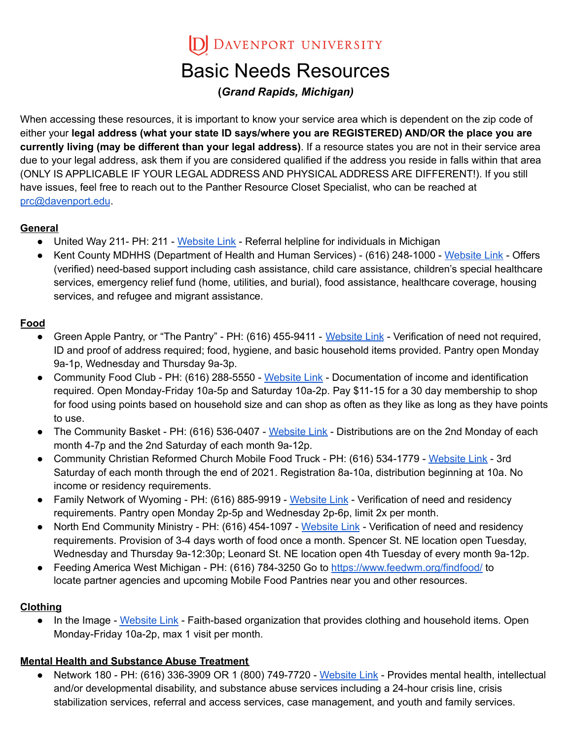D DAVENPORT UNIVERSITY

# Basic Needs Resources

#### **(***Grand Rapids, Michigan)*

When accessing these resources, it is important to know your service area which is dependent on the zip code of either your **legal address (what your state ID says/where you are REGISTERED) AND/OR the place you are currently living (may be different than your legal address)**. If a resource states you are not in their service area due to your legal address, ask them if you are considered qualified if the address you reside in falls within that area (ONLY IS APPLICABLE IF YOUR LEGAL ADDRESS AND PHYSICAL ADDRESS ARE DIFFERENT!). If you still have issues, feel free to reach out to the Panther Resource Closet Specialist, who can be reached at [prc@davenport.edu](mailto:prc@davenport.edu).

#### **General**

- United Way 211- PH: 211 [Website](https://www.hwmuw.org/211) Link Referral helpline for individuals in Michigan
- Kent County MDHHS (Department of Health and Human Services) (616) 248-1000 [Website](https://www.michigan.gov/mdhhs/0,5885,7-339-71547---,00.html) Link Offers (verified) need-based support including cash assistance, child care assistance, children's special healthcare services, emergency relief fund (home, utilities, and burial), food assistance, healthcare coverage, housing services, and refugee and migrant assistance.

#### **Food**

- Green Apple Pantry, or "The Pantry" PH: (616) 455-9411 [Website](https://thegreenapplepantry.org/) Link Verification of need not required, ID and proof of address required; food, hygiene, and basic household items provided. Pantry open Monday 9a-1p, Wednesday and Thursday 9a-3p.
- Community Food Club PH: (616) 288-5550 [Website](https://communityfoodclubgr.org/) Link Documentation of income and identification required. Open Monday-Friday 10a-5p and Saturday 10a-2p. Pay \$11-15 for a 30 day membership to shop for food using points based on household size and can shop as often as they like as long as they have points to use.
- The Community Basket PH: (616) 536-0407 [Website](https://www.communitybasket.org/) Link Distributions are on the 2nd Monday of each month 4-7p and the 2nd Saturday of each month 9a-12p.
- Community Christian Reformed Church Mobile Food Truck PH: (616) 534-1779 [Website](https://communitycrc.org/giving-back#c5e2854b-4c78-465a-bbc8-4d36f6b5df3a) Link 3rd Saturday of each month through the end of 2021. Registration 8a-10a, distribution beginning at 10a. No income or residency requirements.
- Family Network of Wyoming PH: (616) 885-9919 [Website](https://fntw.org/services/food-pantry/) Link Verification of need and residency requirements. Pantry open Monday 2p-5p and Wednesday 2p-6p, limit 2x per month.
- North End Community Ministry PH: (616) 454-1097 [Website](http://necmgr.org/programs-and-services/client-food-choice-pantry/) Link Verification of need and residency requirements. Provision of 3-4 days worth of food once a month. Spencer St. NE location open Tuesday, Wednesday and Thursday 9a-12:30p; Leonard St. NE location open 4th Tuesday of every month 9a-12p.
- Feeding America West Michigan PH: (616) 784-3250 Go to <https://www.feedwm.org/findfood/> to locate partner agencies and upcoming Mobile Food Pantries near you and other resources.

#### **Clothing**

• In the Image - [Website](https://www.intheimage.org/get-help) Link - Faith-based organization that provides clothing and household items. Open Monday-Friday 10a-2p, max 1 visit per month.

#### **Mental Health and Substance Abuse Treatment**

● Network 180 - PH: (616) 336-3909 OR 1 (800) 749-7720 - [Website](https://www.network180.org/services) Link - Provides mental health, intellectual and/or developmental disability, and substance abuse services including a 24-hour crisis line, crisis stabilization services, referral and access services, case management, and youth and family services.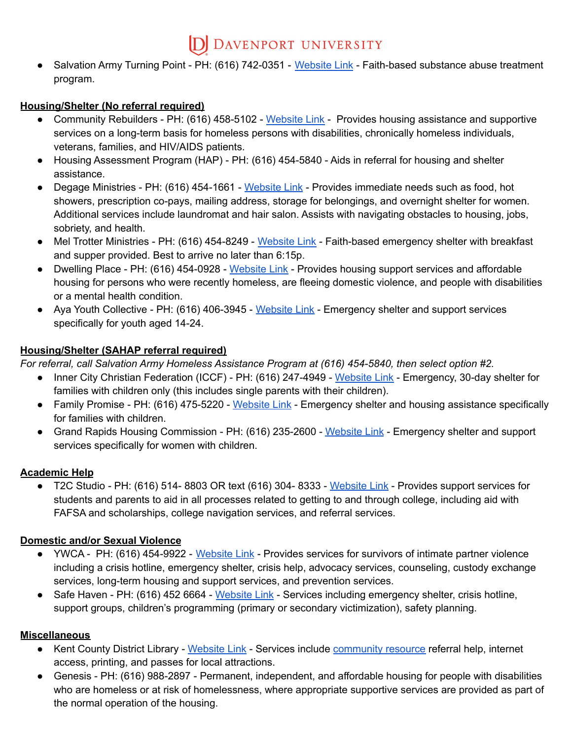### D DAVENPORT UNIVERSITY

● Salvation Army Turning Point - PH: (616) 742-0351 - [Website](https://centralusa.salvationarmy.org/turningpointgr/) Link - Faith-based substance abuse treatment program.

#### **Housing/Shelter (No referral required)**

- Community Rebuilders PH: (616) 458-5102 [Website](https://communityrebuilders.org/) Link Provides housing assistance and supportive services on a long-term basis for homeless persons with disabilities, chronically homeless individuals, veterans, families, and HIV/AIDS patients.
- Housing Assessment Program (HAP) PH: (616) 454-5840 Aids in referral for housing and shelter assistance.
- Degage Ministries PH: (616) 454-1661 [Website](http://www.degageministries.org/) Link Provides immediate needs such as food, hot showers, prescription co-pays, mailing address, storage for belongings, and overnight shelter for women. Additional services include laundromat and hair salon. Assists with navigating obstacles to housing, jobs, sobriety, and health.
- Mel Trotter Ministries PH: (616) 454-8249 [Website](https://www.meltrotter.org/) Link Faith-based emergency shelter with breakfast and supper provided. Best to arrive no later than 6:15p.
- Dwelling Place PH: (616) 454-0928 [Website](https://dwellingplacegr.org/support-services/) Link Provides housing support services and affordable housing for persons who were recently homeless, are fleeing domestic violence, and people with disabilities or a mental health condition.
- Aya Youth Collective PH: (616) 406-3945 [Website](https://www.ayayouth.org/youth-resources/) Link Emergency shelter and support services specifically for youth aged 14-24.

#### **Housing/Shelter (SAHAP referral required)**

*For referral, call Salvation Army Homeless Assistance Program at (616) 454-5840, then select option #2.*

- Inner City Christian Federation (ICCF) PH: (616) 247-4949 [Website](https://iccf.org/emergency-housing/) Link Emergency, 30-day shelter for families with children only (this includes single parents with their children).
- Family Promise PH: (616) 475-5220 [Website](https://www.familypromisegr.org/) Link Emergency shelter and housing assistance specifically for families with children.
- Grand Rapids Housing Commission PH: (616) 235-2600 [Website](https://grhousing.org/) Link Emergency shelter and support services specifically for women with children.

#### **Academic Help**

● T2C Studio - PH: (616) 514- 8803 OR text (616) 304- 8333 - [Website](https://www.t2cstudio.us/) Link - Provides support services for students and parents to aid in all processes related to getting to and through college, including aid with FAFSA and scholarships, college navigation services, and referral services.

#### **Domestic and/or Sexual Violence**

- YWCA PH: (616) 454-9922 [Website](https://www.ywcawcmi.org/our-services/) Link Provides services for survivors of intimate partner violence including a crisis hotline, emergency shelter, crisis help, advocacy services, counseling, custody exchange services, long-term housing and support services, and prevention services.
- Safe Haven PH: (616) 452 6664 [Website](https://safehavenministries.org/) Link Services including emergency shelter, crisis hotline, support groups, children's programming (primary or secondary victimization), safety planning.

#### **Miscellaneous**

- Kent County District Library [Website](https://kdl.bibliocommons.com/locations/?_ga=2.148964083.450516879.1629231325-1060802456.1629231325) Link Services include [community](https://kdl.org/community-resources/) resource referral help, internet access, printing, and passes for local attractions.
- Genesis PH: (616) 988-2897 Permanent, independent, and affordable housing for people with disabilities who are homeless or at risk of homelessness, where appropriate supportive services are provided as part of the normal operation of the housing.